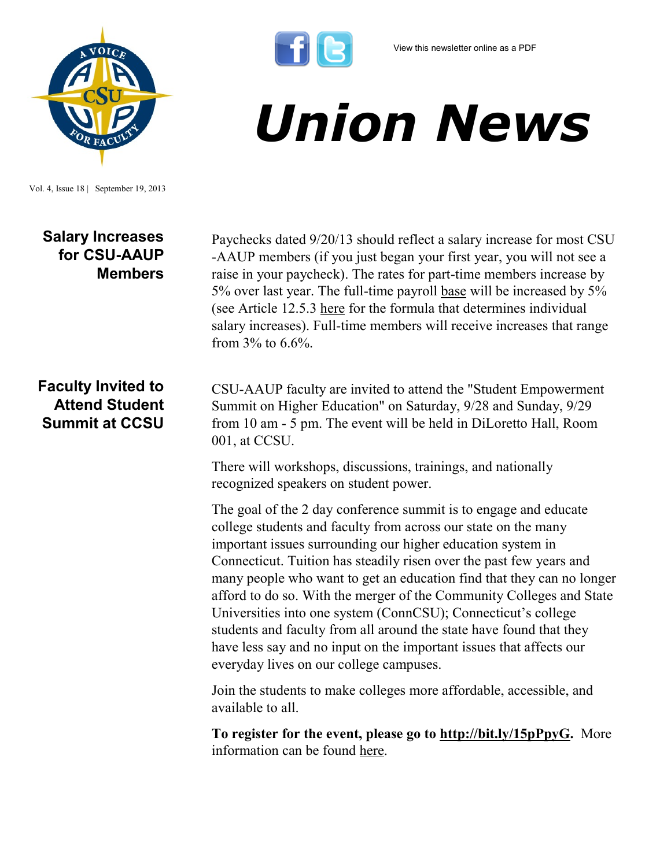

Vol. 4, Issue 18 | September 19, 2013

## **Salary Increases for CSU-AAUP Members**

Paychecks dated 9/20/13 should reflect a salary increase for most CSU -AAUP members (if you just began your first year, you will not see a raise in your paycheck). The rates for part-time members increase by 5% over last year. The full-time payroll base will be increased by 5% (see Article 12.5.3 [here](http://www.csuaaup.org/wp-content/uploads/2011/06/CSUAAUP2011Modification.pdf) for the formula that determines individual salary increases). Full-time members will receive increases that range from  $3\%$  to  $6.6\%$ .

*Union News*

## **Faculty Invited to Attend Student Summit at CCSU**

CSU-AAUP faculty are invited to attend the "Student Empowerment Summit on Higher Education" on Saturday, 9/28 and Sunday, 9/29 from 10 am - 5 pm. The event will be held in DiLoretto Hall, Room 001, at CCSU.

There will workshops, discussions, trainings, and nationally recognized speakers on student power.

The goal of the 2 day conference summit is to engage and educate college students and faculty from across our state on the many important issues surrounding our higher education system in Connecticut. Tuition has steadily risen over the past few years and many people who want to get an education find that they can no longer afford to do so. With the merger of the Community Colleges and State Universities into one system (ConnCSU); Connecticut's college students and faculty from all around the state have found that they have less say and no input on the important issues that affects our everyday lives on our college campuses.

Join the students to make colleges more affordable, accessible, and available to all.

**To register for the event, please go to [http://bit.ly/15pPpyG.](http://bit.ly/15pPpyG)** More information can be found [here.](https://www.facebook.com/events/367864279983630/368284959941562/)